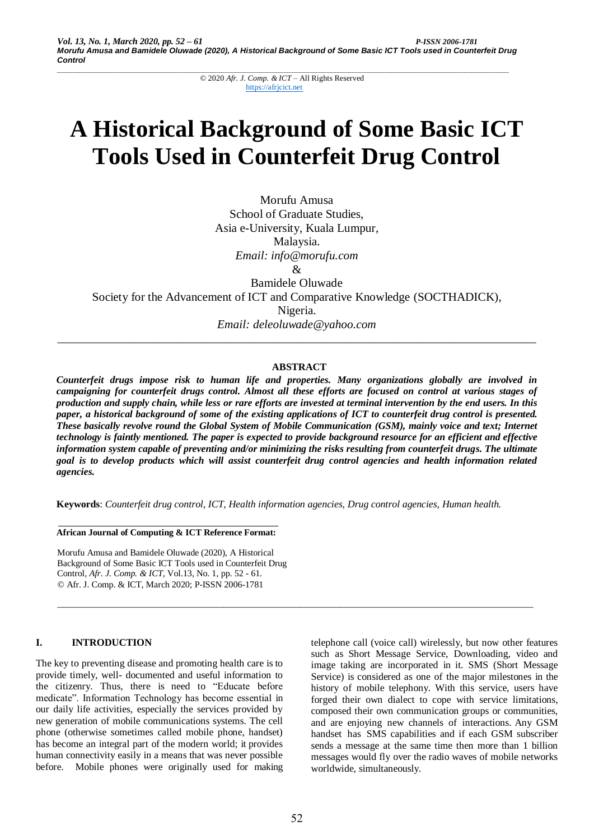# **A Historical Background of Some Basic ICT Tools Used in Counterfeit Drug Control**

Morufu Amusa School of Graduate Studies, Asia e-University, Kuala Lumpur, Malaysia. *Email: info@morufu.com*  $\mathcal{R}$ Bamidele Oluwade Society for the Advancement of ICT and Comparative Knowledge (SOCTHADICK),

Nigeria.

*Email: deleoluwade@yahoo.com \_\_\_\_\_\_\_\_\_\_\_\_\_\_\_\_\_\_\_\_\_\_\_\_\_\_\_\_\_\_\_\_\_\_\_\_\_\_\_\_\_\_\_\_\_\_\_\_\_\_\_\_\_\_\_\_\_\_\_\_\_\_\_\_\_\_\_\_\_\_\_\_\_\_\_\_\_\_\_\_*

# **ABSTRACT**

*Counterfeit drugs impose risk to human life and properties. Many organizations globally are involved in campaigning for counterfeit drugs control. Almost all these efforts are focused on control at various stages of production and supply chain, while less or rare efforts are invested at terminal intervention by the end users. In this paper, a historical background of some of the existing applications of ICT to counterfeit drug control is presented. These basically revolve round the Global System of Mobile Communication (GSM), mainly voice and text; Internet technology is faintly mentioned. The paper is expected to provide background resource for an efficient and effective information system capable of preventing and/or minimizing the risks resulting from counterfeit drugs. The ultimate goal is to develop products which will assist counterfeit drug control agencies and health information related agencies.*

**Keywords**: *Counterfeit drug control, ICT, Health information agencies, Drug control agencies, Human health.*

\_\_\_\_\_\_\_\_\_\_\_\_\_\_\_\_\_\_\_\_\_\_\_\_\_\_\_\_\_\_\_\_\_\_\_\_\_\_\_\_\_\_\_\_\_\_\_\_\_\_\_\_\_\_\_\_\_\_\_\_\_\_\_\_\_\_\_\_\_\_\_\_\_\_\_\_\_\_\_\_\_\_\_\_\_\_\_\_\_\_\_\_\_\_\_\_\_\_\_\_\_\_\_\_\_\_

**African Journal of Computing & ICT Reference Format:**

Morufu Amusa and Bamidele Oluwade (2020), A Historical Background of Some Basic ICT Tools used in Counterfeit Drug Control, *Afr. J. Comp. & ICT*, Vol.13, No. 1, pp. 52 - 61. © Afr. J. Comp. & ICT, March 2020; P-ISSN 2006-1781

## **I. INTRODUCTION**

The key to preventing disease and promoting health care is to provide timely, well- documented and useful information to the citizenry. Thus, there is need to "Educate before medicate". Information Technology has become essential in our daily life activities, especially the services provided by new generation of mobile communications systems. The cell phone (otherwise sometimes called mobile phone, handset) has become an integral part of the modern world; it provides human connectivity easily in a means that was never possible before. Mobile phones were originally used for making telephone call (voice call) wirelessly, but now other features such as Short Message Service, Downloading, video and image taking are incorporated in it. SMS (Short Message Service) is considered as one of the major milestones in the history of mobile telephony. With this service, users have forged their own dialect to cope with service limitations, composed their own communication groups or communities, and are enjoying new channels of interactions. Any GSM handset has SMS capabilities and if each GSM subscriber sends a message at the same time then more than 1 billion messages would fly over the radio waves of mobile networks worldwide, simultaneously.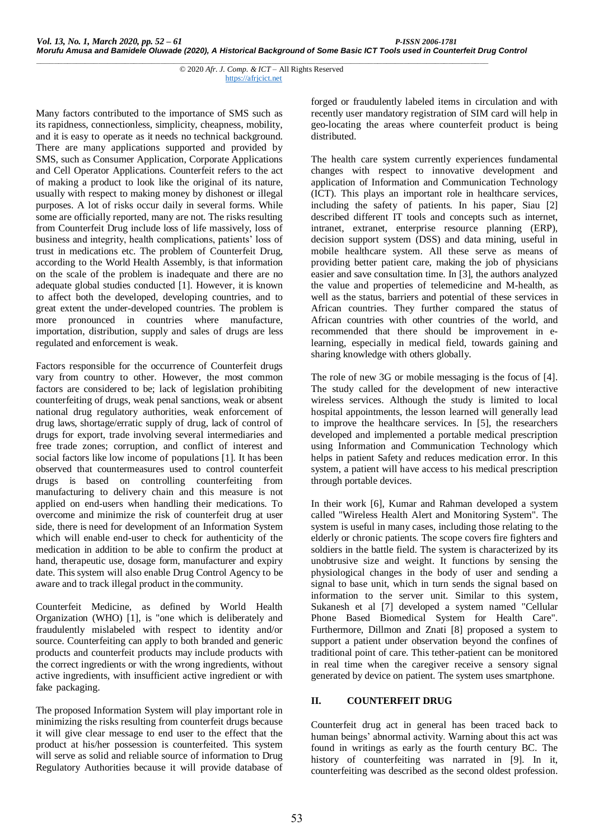Many factors contributed to the importance of SMS such as its rapidness, connectionless, simplicity, cheapness, mobility, and it is easy to operate as it needs no technical background. There are many applications supported and provided by SMS, such as Consumer Application, Corporate Applications and Cell Operator Applications. Counterfeit refers to the act of making a product to look like the original of its nature, usually with respect to making money by dishonest or illegal purposes. A lot of risks occur daily in several forms. While some are officially reported, many are not. The risks resulting from Counterfeit Drug include loss of life massively, loss of business and integrity, health complications, patients' loss of trust in medications etc. The problem of Counterfeit Drug, according to the World Health Assembly, is that information on the scale of the problem is inadequate and there are no adequate global studies conducted [1]. However, it is known to affect both the developed, developing countries, and to great extent the under-developed countries. The problem is more pronounced in countries where manufacture, importation, distribution, supply and sales of drugs are less regulated and enforcement is weak.

Factors responsible for the occurrence of Counterfeit drugs vary from country to other. However, the most common factors are considered to be; lack of legislation prohibiting counterfeiting of drugs, weak penal sanctions, weak or absent national drug regulatory authorities, weak enforcement of drug laws, shortage/erratic supply of drug, lack of control of drugs for export, trade involving several intermediaries and free trade zones; corruption, and conflict of interest and social factors like low income of populations [1]. It has been observed that countermeasures used to control counterfeit drugs is based on controlling counterfeiting from manufacturing to delivery chain and this measure is not applied on end-users when handling their medications. To overcome and minimize the risk of counterfeit drug at user side, there is need for development of an Information System which will enable end-user to check for authenticity of the medication in addition to be able to confirm the product at hand, therapeutic use, dosage form, manufacturer and expiry date. This system will also enable Drug Control Agency to be aware and to track illegal product in the community.

Counterfeit Medicine, as defined by World Health Organization (WHO) [1], is "one which is deliberately and fraudulently mislabeled with respect to identity and/or source. Counterfeiting can apply to both branded and generic products and counterfeit products may include products with the correct ingredients or with the wrong ingredients, without active ingredients, with insufficient active ingredient or with fake packaging.

The proposed Information System will play important role in minimizing the risks resulting from counterfeit drugs because it will give clear message to end user to the effect that the product at his/her possession is counterfeited. This system will serve as solid and reliable source of information to Drug Regulatory Authorities because it will provide database of forged or fraudulently labeled items in circulation and with recently user mandatory registration of SIM card will help in geo-locating the areas where counterfeit product is being distributed.

The health care system currently experiences fundamental changes with respect to innovative development and application of Information and Communication Technology (ICT). This plays an important role in healthcare services, including the safety of patients. In his paper, Siau [2] described different IT tools and concepts such as internet, intranet, extranet, enterprise resource planning (ERP), decision support system (DSS) and data mining, useful in mobile healthcare system. All these serve as means of providing better patient care, making the job of physicians easier and save consultation time. In [3], the authors analyzed the value and properties of telemedicine and M-health, as well as the status, barriers and potential of these services in African countries. They further compared the status of African countries with other countries of the world, and recommended that there should be improvement in elearning, especially in medical field, towards gaining and sharing knowledge with others globally.

The role of new 3G or mobile messaging is the focus of [4]. The study called for the development of new interactive wireless services. Although the study is limited to local hospital appointments, the lesson learned will generally lead to improve the healthcare services. In [5], the researchers developed and implemented a portable medical prescription using Information and Communication Technology which helps in patient Safety and reduces medication error. In this system, a patient will have access to his medical prescription through portable devices.

In their work [6], Kumar and Rahman developed a system called "Wireless Health Alert and Monitoring System". The system is useful in many cases, including those relating to the elderly or chronic patients. The scope covers fire fighters and soldiers in the battle field. The system is characterized by its unobtrusive size and weight. It functions by sensing the physiological changes in the body of user and sending a signal to base unit, which in turn sends the signal based on information to the server unit. Similar to this system, Sukanesh et al [7] developed a system named "Cellular Phone Based Biomedical System for Health Care". Furthermore, Dillmon and Znati [8] proposed a system to support a patient under observation beyond the confines of traditional point of care. This tether-patient can be monitored in real time when the caregiver receive a sensory signal generated by device on patient. The system uses smartphone.

## **II. COUNTERFEIT DRUG**

Counterfeit drug act in general has been traced back to human beings' abnormal activity. Warning about this act was found in writings as early as the fourth century BC. The history of counterfeiting was narrated in [9]. In it, counterfeiting was described as the second oldest profession.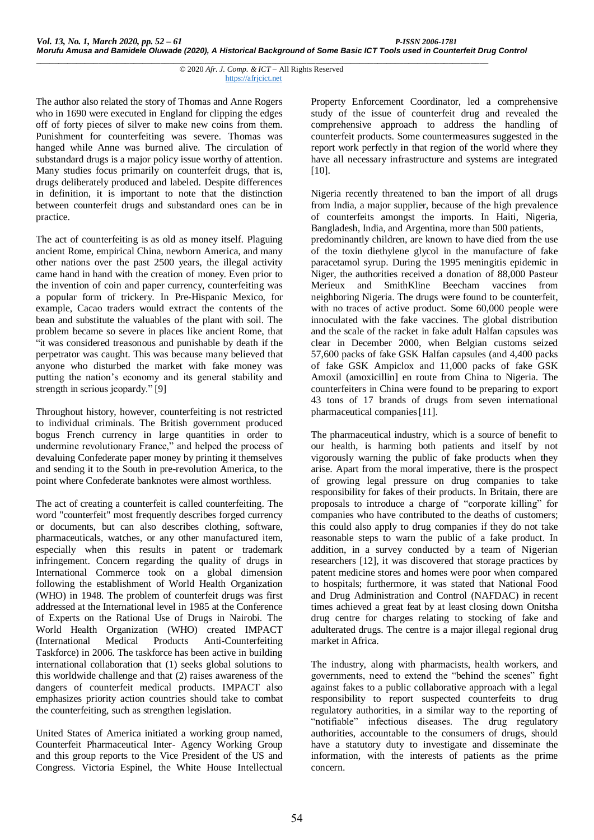The author also related the story of Thomas and Anne Rogers who in 1690 were executed in England for clipping the edges off of forty pieces of silver to make new coins from them. Punishment for counterfeiting was severe. Thomas was hanged while Anne was burned alive. The circulation of substandard drugs is a major policy issue worthy of attention. Many studies focus primarily on counterfeit drugs, that is, drugs deliberately produced and labeled. Despite differences in definition, it is important to note that the distinction between counterfeit drugs and substandard ones can be in practice.

The act of counterfeiting is as old as money itself. Plaguing ancient Rome, empirical China, newborn America, and many other nations over the past 2500 years, the illegal activity came hand in hand with the creation of money. Even prior to the invention of coin and paper currency, counterfeiting was a popular form of trickery. In Pre-Hispanic Mexico, for example, Cacao traders would extract the contents of the bean and substitute the valuables of the plant with soil. The problem became so severe in places like ancient Rome, that "it was considered treasonous and punishable by death if the perpetrator was caught. This was because many believed that anyone who disturbed the market with fake money was putting the nation's economy and its general stability and strength in serious jeopardy." [9]

Throughout history, however, counterfeiting is not restricted to individual criminals. The British government produced bogus French currency in large quantities in order to undermine revolutionary France," and helped the process of devaluing Confederate paper money by printing it themselves and sending it to the South in pre-revolution America, to the point where Confederate banknotes were almost worthless.

The act of creating a counterfeit is called counterfeiting. The word "counterfeit" most frequently describes forged currency or documents, but can also describes clothing, software, pharmaceuticals, watches, or any other manufactured item, especially when this results in patent or trademark infringement. Concern regarding the quality of drugs in International Commerce took on a global dimension following the establishment of World Health Organization (WHO) in 1948. The problem of counterfeit drugs was first addressed at the International level in 1985 at the Conference of Experts on the Rational Use of Drugs in Nairobi. The World Health Organization (WHO) created IMPACT (International Medical Products Anti-Counterfeiting Taskforce) in 2006. The taskforce has been active in building international collaboration that (1) seeks global solutions to this worldwide challenge and that (2) raises awareness of the dangers of counterfeit medical products. IMPACT also emphasizes priority action countries should take to combat the counterfeiting, such as strengthen legislation.

United States of America initiated a working group named, Counterfeit Pharmaceutical Inter- Agency Working Group and this group reports to the Vice President of the US and Congress. Victoria Espinel, the White House Intellectual Property Enforcement Coordinator, led a comprehensive study of the issue of counterfeit drug and revealed the comprehensive approach to address the handling of counterfeit products. Some countermeasures suggested in the report work perfectly in that region of the world where they have all necessary infrastructure and systems are integrated [10].

Nigeria recently threatened to ban the import of all drugs from India, a major supplier, because of the high prevalence of counterfeits amongst the imports. In Haiti, Nigeria, Bangladesh, India, and Argentina, more than 500 patients, predominantly children, are known to have died from the use of the toxin diethylene glycol in the manufacture of fake paracetamol syrup. During the 1995 meningitis epidemic in Niger, the authorities received a donation of 88,000 Pasteur Merieux and SmithKline Beecham vaccines from neighboring Nigeria. The drugs were found to be counterfeit, with no traces of active product. Some 60,000 people were innoculated with the fake vaccines. The global distribution and the scale of the racket in fake adult Halfan capsules was clear in December 2000, when Belgian customs seized 57,600 packs of fake GSK Halfan capsules (and 4,400 packs of fake GSK Ampiclox and 11,000 packs of fake GSK Amoxil (amoxicillin] en route from China to Nigeria. The counterfeiters in China were found to be preparing to export 43 tons of 17 brands of drugs from seven international pharmaceutical companies[11].

The pharmaceutical industry, which is a source of benefit to our health, is harming both patients and itself by not vigorously warning the public of fake products when they arise. Apart from the moral imperative, there is the prospect of growing legal pressure on drug companies to take responsibility for fakes of their products. In Britain, there are proposals to introduce a charge of "corporate killing" for companies who have contributed to the deaths of customers; this could also apply to drug companies if they do not take reasonable steps to warn the public of a fake product. In addition, in a survey conducted by a team of Nigerian researchers [12], it was discovered that storage practices by patent medicine stores and homes were poor when compared to hospitals; furthermore, it was stated that National Food and Drug Administration and Control (NAFDAC) in recent times achieved a great feat by at least closing down Onitsha drug centre for charges relating to stocking of fake and adulterated drugs. The centre is a major illegal regional drug market in Africa.

The industry, along with pharmacists, health workers, and governments, need to extend the "behind the scenes" fight against fakes to a public collaborative approach with a legal responsibility to report suspected counterfeits to drug regulatory authorities, in a similar way to the reporting of "notifiable" infectious diseases. The drug regulatory authorities, accountable to the consumers of drugs, should have a statutory duty to investigate and disseminate the information, with the interests of patients as the prime concern.

*\_\_\_\_\_\_\_\_\_\_\_\_\_\_\_\_\_\_\_\_\_\_\_\_\_\_\_\_\_\_\_\_\_\_\_\_\_\_\_\_\_\_\_\_\_\_\_\_\_\_\_\_\_\_\_\_\_\_\_\_\_\_\_\_\_\_\_\_\_\_\_\_\_\_\_\_\_\_\_\_\_\_\_\_\_\_\_\_\_\_\_\_\_\_\_\_\_\_\_\_\_\_* © 2020 *Afr. J. Comp. & ICT* – All Rights Reserved https://afrjcict.net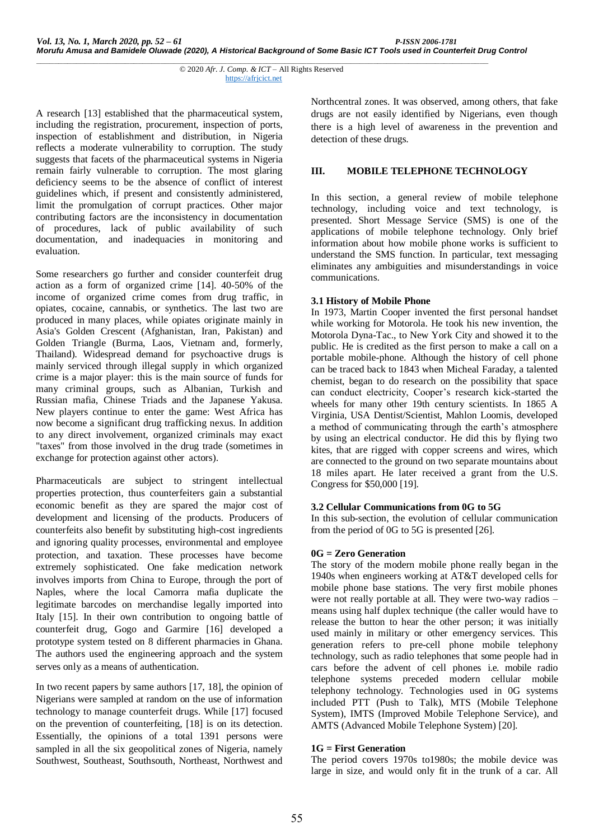A research [13] established that the pharmaceutical system, including the registration, procurement, inspection of ports, inspection of establishment and distribution, in Nigeria reflects a moderate vulnerability to corruption. The study suggests that facets of the pharmaceutical systems in Nigeria remain fairly vulnerable to corruption. The most glaring deficiency seems to be the absence of conflict of interest guidelines which, if present and consistently administered, limit the promulgation of corrupt practices. Other major contributing factors are the inconsistency in documentation of procedures, lack of public availability of such documentation, and inadequacies in monitoring and evaluation.

Some researchers go further and consider counterfeit drug action as a form of organized crime [14]. 40-50% of the income of organized crime comes from drug traffic, in opiates, cocaine, cannabis, or synthetics. The last two are produced in many places, while opiates originate mainly in Asia's Golden Crescent (Afghanistan, Iran, Pakistan) and Golden Triangle (Burma, Laos, Vietnam and, formerly, Thailand). Widespread demand for psychoactive drugs is mainly serviced through illegal supply in which organized crime is a major player: this is the main source of funds for many criminal groups, such as Albanian, Turkish and Russian mafia, Chinese Triads and the Japanese Yakusa. New players continue to enter the game: West Africa has now become a significant drug trafficking nexus. In addition to any direct involvement, organized criminals may exact "taxes" from those involved in the drug trade (sometimes in exchange for protection against other actors).

Pharmaceuticals are subject to stringent intellectual properties protection, thus counterfeiters gain a substantial economic benefit as they are spared the major cost of development and licensing of the products. Producers of counterfeits also benefit by substituting high-cost ingredients and ignoring quality processes, environmental and employee protection, and taxation. These processes have become extremely sophisticated. One fake medication network involves imports from China to Europe, through the port of Naples, where the local Camorra mafia duplicate the legitimate barcodes on merchandise legally imported into Italy [15]. In their own contribution to ongoing battle of counterfeit drug, Gogo and Garmire [16] developed a prototype system tested on 8 different pharmacies in Ghana. The authors used the engineering approach and the system serves only as a means of authentication.

In two recent papers by same authors [17, 18], the opinion of Nigerians were sampled at random on the use of information technology to manage counterfeit drugs. While [17] focused on the prevention of counterfeiting, [18] is on its detection. Essentially, the opinions of a total 1391 persons were sampled in all the six geopolitical zones of Nigeria, namely Southwest, Southeast, Southsouth, Northeast, Northwest and Northcentral zones. It was observed, among others, that fake drugs are not easily identified by Nigerians, even though there is a high level of awareness in the prevention and detection of these drugs.

## **III. MOBILE TELEPHONE TECHNOLOGY**

In this section, a general review of mobile telephone technology, including voice and text technology, is presented. Short Message Service (SMS) is one of the applications of mobile telephone technology. Only brief information about how mobile phone works is sufficient to understand the SMS function. In particular, text messaging eliminates any ambiguities and misunderstandings in voice communications.

### **3.1 History of Mobile Phone**

In 1973, Martin Cooper invented the first personal handset while working for Motorola. He took his new invention, the Motorola Dyna-Tac., to New York City and showed it to the public. He is credited as the first person to make a call on a portable mobile-phone. Although the history of cell phone can be traced back to 1843 when Micheal Faraday, a talented chemist, began to do research on the possibility that space can conduct electricity, Cooper's research kick-started the wheels for many other 19th century scientists. In 1865 A Virginia, USA Dentist/Scientist, Mahlon Loomis, developed a method of communicating through the earth's atmosphere by using an electrical conductor. He did this by flying two kites, that are rigged with copper screens and wires, which are connected to the ground on two separate mountains about 18 miles apart. He later received a grant from the U.S. Congress for \$50,000 [19].

#### **3.2 Cellular Communications from 0G to 5G**

In this sub-section, the evolution of cellular communication from the period of 0G to 5G is presented [26].

## **0G = Zero Generation**

The story of the modern mobile phone really began in the 1940s when engineers working at AT&T developed cells for mobile phone base stations. The very first mobile phones were not really portable at all. They were two-way radios – means using half duplex technique (the caller would have to release the button to hear the other person; it was initially used mainly in military or other emergency services. This generation refers to pre-cell phone mobile telephony technology, such as radio telephones that some people had in cars before the advent of cell phones i.e. mobile radio telephone systems preceded modern cellular mobile telephony technology. Technologies used in 0G systems included PTT (Push to Talk), MTS (Mobile Telephone System), IMTS (Improved Mobile Telephone Service), and AMTS (Advanced Mobile Telephone System) [20].

## **1G = First Generation**

The period covers 1970s to1980s; the mobile device was large in size, and would only fit in the trunk of a car. All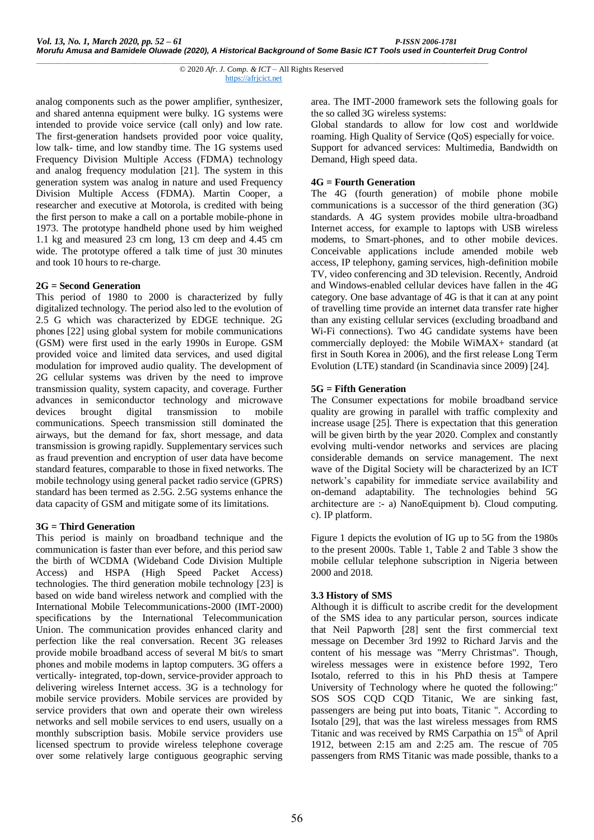analog components such as the power amplifier, synthesizer, and shared antenna equipment were bulky. 1G systems were intended to provide voice service (call only) and low rate. The first-generation handsets provided poor voice quality, low talk- time, and low standby time. The 1G systems used Frequency Division Multiple Access (FDMA) technology and analog frequency modulation [21]. The system in this generation system was analog in nature and used Frequency Division Multiple Access (FDMA). Martin Cooper, a researcher and executive at Motorola, is credited with being the first person to make a call on a portable mobile-phone in 1973. The prototype handheld phone used by him weighed 1.1 kg and measured 23 cm long, 13 cm deep and 4.45 cm wide. The prototype offered a talk time of just 30 minutes and took 10 hours to re-charge.

### **2G = Second Generation**

This period of 1980 to 2000 is characterized by fully digitalized technology. The period also led to the evolution of 2.5 G which was characterized by EDGE technique. 2G phones [22] using global system for mobile communications (GSM) were first used in the early 1990s in Europe. GSM provided voice and limited data services, and used digital modulation for improved audio quality. The development of 2G cellular systems was driven by the need to improve transmission quality, system capacity, and coverage. Further advances in semiconductor technology and microwave devices brought digital transmission to mobile communications. Speech transmission still dominated the airways, but the demand for fax, short message, and data transmission is growing rapidly. Supplementary services such as fraud prevention and encryption of user data have become standard features, comparable to those in fixed networks. The mobile technology using general packet radio service (GPRS) standard has been termed as 2.5G. 2.5G systems enhance the data capacity of GSM and mitigate some of its limitations.

## **3G = Third Generation**

This period is mainly on broadband technique and the communication is faster than ever before, and this period saw the birth of WCDMA (Wideband Code Division Multiple Access) and HSPA (High Speed Packet Access) technologies. The third generation mobile technology [23] is based on wide band wireless network and complied with the International Mobile Telecommunications-2000 (IMT-2000) specifications by the International Telecommunication Union. The communication provides enhanced clarity and perfection like the real conversation. Recent 3G releases provide mobile broadband access of several M bit/s to smart phones and mobile modems in laptop computers. 3G offers a vertically- integrated, top-down, service-provider approach to delivering wireless Internet access. 3G is a technology for mobile service providers. Mobile services are provided by service providers that own and operate their own wireless networks and sell mobile services to end users, usually on a monthly subscription basis. Mobile service providers use licensed spectrum to provide wireless telephone coverage over some relatively large contiguous geographic serving

area. The IMT-2000 framework sets the following goals for the so called 3G wireless systems:

Global standards to allow for low cost and worldwide roaming. High Quality of Service (QoS) especially for voice. Support for advanced services: Multimedia, Bandwidth on Demand, High speed data.

## **4G = Fourth Generation**

The 4G (fourth generation) of mobile phone mobile communications is a successor of the third generation (3G) standards. A 4G system provides mobile ultra-broadband Internet access, for example to laptops with USB wireless modems, to Smart-phones, and to other mobile devices. Conceivable applications include amended mobile web access, IP telephony, gaming services, high-definition mobile TV, video conferencing and 3D television. Recently, Android and Windows-enabled cellular devices have fallen in the 4G category. One base advantage of 4G is that it can at any point of travelling time provide an internet data transfer rate higher than any existing cellular services (excluding broadband and Wi-Fi connections). Two 4G candidate systems have been commercially deployed: the Mobile WiMAX+ standard (at first in South Korea in 2006), and the first release Long Term Evolution (LTE) standard (in Scandinavia since 2009) [24].

### **5G = Fifth Generation**

The Consumer expectations for mobile broadband service quality are growing in parallel with traffic complexity and increase usage [25]. There is expectation that this generation will be given birth by the year 2020. Complex and constantly evolving multi-vendor networks and services are placing considerable demands on service management. The next wave of the Digital Society will be characterized by an ICT network's capability for immediate service availability and on-demand adaptability. The technologies behind 5G architecture are :- a) NanoEquipment b). Cloud computing. c). IP platform.

Figure 1 depicts the evolution of IG up to 5G from the 1980s to the present 2000s. Table 1, Table 2 and Table 3 show the mobile cellular telephone subscription in Nigeria between 2000 and 2018.

## **3.3 History of SMS**

Although it is difficult to ascribe credit for the development of the SMS idea to any particular person, sources indicate that Neil Papworth [28] sent the first commercial text message on December 3rd 1992 to Richard Jarvis and the content of his message was "Merry Christmas". Though, wireless messages were in existence before 1992, Tero Isotalo, referred to this in his PhD thesis at Tampere University of Technology where he quoted the following:" SOS SOS CQD CQD Titanic, We are sinking fast, passengers are being put into boats, Titanic ". According to Isotalo [29], that was the last wireless messages from RMS Titanic and was received by RMS Carpathia on 15<sup>th</sup> of April 1912, between 2:15 am and 2:25 am. The rescue of 705 passengers from RMS Titanic was made possible, thanks to a

*\_\_\_\_\_\_\_\_\_\_\_\_\_\_\_\_\_\_\_\_\_\_\_\_\_\_\_\_\_\_\_\_\_\_\_\_\_\_\_\_\_\_\_\_\_\_\_\_\_\_\_\_\_\_\_\_\_\_\_\_\_\_\_\_\_\_\_\_\_\_\_\_\_\_\_\_\_\_\_\_\_\_\_\_\_\_\_\_\_\_\_\_\_\_\_\_\_\_\_\_\_\_* © 2020 *Afr. J. Comp. & ICT* – All Rights Reserved https://afrjcict.net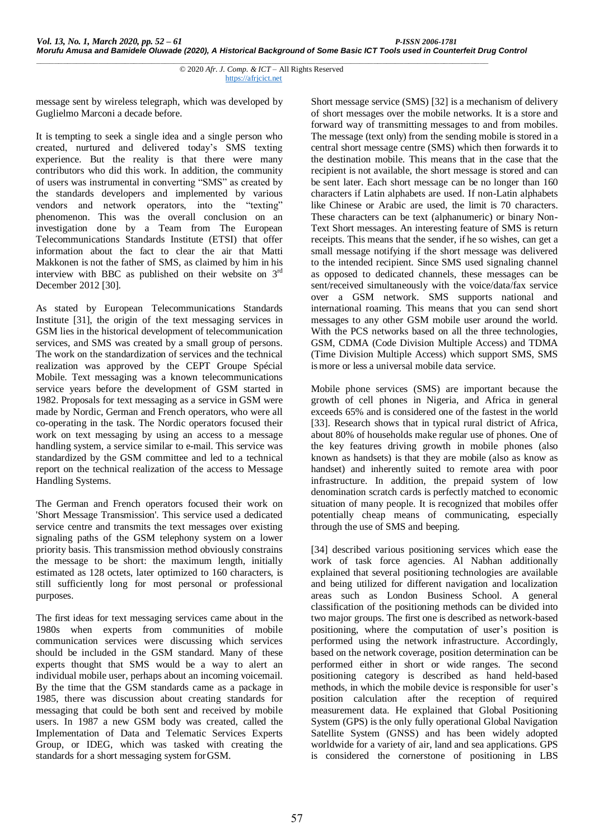message sent by wireless telegraph, which was developed by Guglielmo Marconi a decade before.

It is tempting to seek a single idea and a single person who created, nurtured and delivered today's SMS texting experience. But the reality is that there were many contributors who did this work. In addition, the community of users was instrumental in converting "SMS" as created by the standards developers and implemented by various vendors and network operators, into the "texting" phenomenon. This was the overall conclusion on an investigation done by a Team from The European Telecommunications Standards Institute (ETSI) that offer information about the fact to clear the air that Matti Makkonen is not the father of SMS, as claimed by him in his interview with BBC as published on their website on  $3<sup>rd</sup>$ December 2012 [30].

As stated by European Telecommunications Standards Institute [31], the origin of the text messaging services in GSM lies in the historical development of telecommunication services, and SMS was created by a small group of persons. The work on the standardization of services and the technical realization was approved by the CEPT Groupe Spécial Mobile. Text messaging was a known telecommunications service years before the development of GSM started in 1982. Proposals for text messaging as a service in GSM were made by Nordic, German and French operators, who were all co-operating in the task. The Nordic operators focused their work on text messaging by using an access to a message handling system, a service similar to e-mail. This service was standardized by the GSM committee and led to a technical report on the technical realization of the access to Message Handling Systems.

The German and French operators focused their work on 'Short Message Transmission'. This service used a dedicated service centre and transmits the text messages over existing signaling paths of the GSM telephony system on a lower priority basis. This transmission method obviously constrains the message to be short: the maximum length, initially estimated as 128 octets, later optimized to 160 characters, is still sufficiently long for most personal or professional purposes.

The first ideas for text messaging services came about in the 1980s when experts from communities of mobile communication services were discussing which services should be included in the GSM standard. Many of these experts thought that SMS would be a way to alert an individual mobile user, perhaps about an incoming voicemail. By the time that the GSM standards came as a package in 1985, there was discussion about creating standards for messaging that could be both sent and received by mobile users. In 1987 a new GSM body was created, called the Implementation of Data and Telematic Services Experts Group, or IDEG, which was tasked with creating the standards for a short messaging system forGSM.

Short message service (SMS) [32] is a mechanism of delivery of short messages over the mobile networks. It is a store and forward way of transmitting messages to and from mobiles. The message (text only) from the sending mobile is stored in a central short message centre (SMS) which then forwards it to the destination mobile. This means that in the case that the recipient is not available, the short message is stored and can be sent later. Each short message can be no longer than 160 characters if Latin alphabets are used. If non-Latin alphabets like Chinese or Arabic are used, the limit is 70 characters. These characters can be text (alphanumeric) or binary Non-Text Short messages. An interesting feature of SMS is return receipts. This means that the sender, if he so wishes, can get a small message notifying if the short message was delivered to the intended recipient. Since SMS used signaling channel as opposed to dedicated channels, these messages can be sent/received simultaneously with the voice/data/fax service over a GSM network. SMS supports national and international roaming. This means that you can send short messages to any other GSM mobile user around the world. With the PCS networks based on all the three technologies, GSM, CDMA (Code Division Multiple Access) and TDMA (Time Division Multiple Access) which support SMS, SMS is more or less a universal mobile data service.

Mobile phone services (SMS) are important because the growth of cell phones in Nigeria, and Africa in general exceeds 65% and is considered one of the fastest in the world [33]. Research shows that in typical rural district of Africa, about 80% of households make regular use of phones. One of the key features driving growth in mobile phones (also known as handsets) is that they are mobile (also as know as handset) and inherently suited to remote area with poor infrastructure. In addition, the prepaid system of low denomination scratch cards is perfectly matched to economic situation of many people. It is recognized that mobiles offer potentially cheap means of communicating, especially through the use of SMS and beeping.

[34] described various positioning services which ease the work of task force agencies. Al Nabhan additionally explained that several positioning technologies are available and being utilized for different navigation and localization areas such as London Business School. A general classification of the positioning methods can be divided into two major groups. The first one is described as network-based positioning, where the computation of user's position is performed using the network infrastructure. Accordingly, based on the network coverage, position determination can be performed either in short or wide ranges. The second positioning category is described as hand held-based methods, in which the mobile device is responsible for user's position calculation after the reception of required measurement data. He explained that Global Positioning System (GPS) is the only fully operational Global Navigation Satellite System (GNSS) and has been widely adopted worldwide for a variety of air, land and sea applications. GPS is considered the cornerstone of positioning in LBS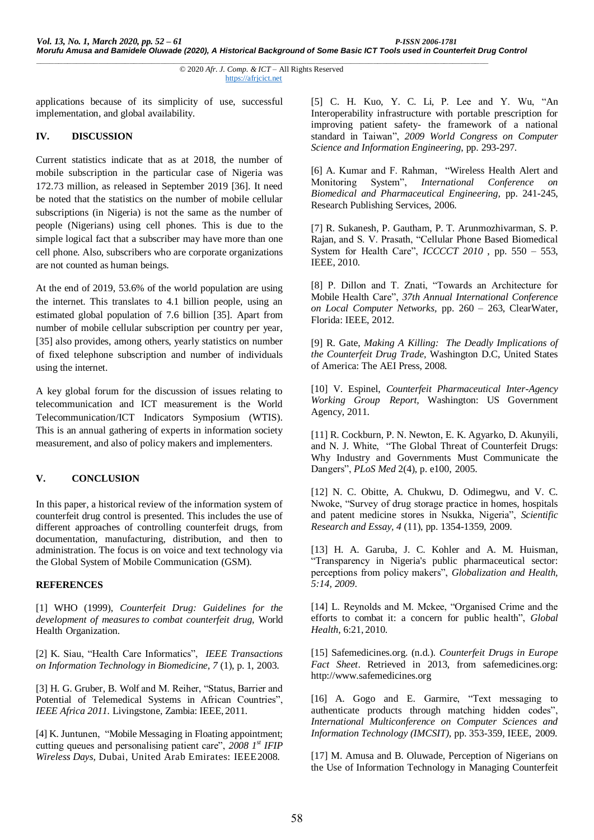applications because of its simplicity of use, successful implementation, and global availability.

## **IV. DISCUSSION**

Current statistics indicate that as at 2018, the number of mobile subscription in the particular case of Nigeria was 172.73 million, as released in September 2019 [36]. It need be noted that the statistics on the number of mobile cellular subscriptions (in Nigeria) is not the same as the number of people (Nigerians) using cell phones. This is due to the simple logical fact that a subscriber may have more than one cell phone. Also, subscribers who are corporate organizations are not counted as human beings.

At the end of 2019, 53.6% of the world population are using the internet. This translates to 4.1 billion people, using an estimated global population of 7.6 billion [35]. Apart from number of mobile cellular subscription per country per year, [35] also provides, among others, yearly statistics on number of fixed telephone subscription and number of individuals using the internet.

A key global forum for the discussion of issues relating to telecommunication and ICT measurement is the World Telecommunication/ICT Indicators Symposium (WTIS). This is an annual gathering of experts in information society measurement, and also of policy makers and implementers.

## **V. CONCLUSION**

In this paper, a historical review of the information system of counterfeit drug control is presented. This includes the use of different approaches of controlling counterfeit drugs, from documentation, manufacturing, distribution, and then to administration. The focus is on voice and text technology via the Global System of Mobile Communication (GSM).

#### **REFERENCES**

[1] WHO (1999), *Counterfeit Drug: Guidelines for the development of measures to combat counterfeit drug,* World Health Organization.

[2] K. Siau, "Health Care Informatics", *IEEE Transactions on Information Technology in Biomedicine, 7* (1), p. 1, 2003.

[3] H. G. Gruber, B. Wolf and M. Reiher, "Status, Barrier and Potential of Telemedical Systems in African Countries", *IEEE Africa 2011.* Livingstone, Zambia: IEEE, 2011.

[4] K. Juntunen, "Mobile Messaging in Floating appointment; cutting queues and personalising patient care", *2008 1st IFIP Wireless Days,* Dubai, United Arab Emirates: IEEE2008.

[5] C. H. Kuo, Y. C. Li, P. Lee and Y. Wu, "An Interoperability infrastructure with portable prescription for improving patient safety- the framework of a national standard in Taiwan", *2009 World Congress on Computer Science and Information Engineering*, pp. 293-297.

[6] A. Kumar and F. Rahman, "Wireless Health Alert and Monitoring System", *International Conference on Biomedical and Pharmaceutical Engineering,* pp. 241-245, Research Publishing Services, 2006.

[7] R. Sukanesh, P. Gautham, P. T. Arunmozhivarman, S. P. Rajan, and S. V. Prasath, "Cellular Phone Based Biomedical System for Health Care", *ICCCCT 2010* , pp. 550 – 553, IEEE, 2010.

[8] P. Dillon and T. Znati, "Towards an Architecture for Mobile Health Care", *37th Annual International Conference on Local Computer Networks,* pp. 260 – 263, ClearWater, Florida: IEEE, 2012.

[9] R. Gate, *Making A Killing: The Deadly Implications of the Counterfeit Drug Trade,* Washington D.C, United States of America: The AEI Press, 2008.

[10] V. Espinel, *Counterfeit Pharmaceutical Inter-Agency Working Group Report,* Washington: US Government Agency, 2011.

[11] R. Cockburn, P. N. Newton, E. K. Agyarko, D. Akunyili, and N. J. White, "The Global Threat of Counterfeit Drugs: Why Industry and Governments Must Communicate the Dangers", *PLoS Med* 2(4), p. e100, 2005.

[12] N. C. Obitte, A. Chukwu, D. Odimegwu, and V. C. Nwoke, "Survey of drug storage practice in homes, hospitals and patent medicine stores in Nsukka, Nigeria", *Scientific Research and Essay, 4* (11), pp. 1354-1359, 2009.

[13] H. A. Garuba, J. C. Kohler and A. M. Huisman, "Transparency in Nigeria's public pharmaceutical sector: perceptions from policy makers", *Globalization and Health, 5:14, 2009*.

[14] L. Reynolds and M. Mckee, "Organised Crime and the efforts to combat it: a concern for public health", *Global Health*, 6:21, 2010.

[15] Safemedicines.org. (n.d.). *Counterfeit Drugs in Europe Fact Sheet*. Retrieved in 2013, from safemedicines.org: [http://www.safemedicines.org](http://www.safemedicines.org/)

[16] A. Gogo and E. Garmire, "Text messaging to authenticate products through matching hidden codes", *International Multiconference on Computer Sciences and Information Technology (IMCSIT),* pp. 353-359, IEEE, 2009.

[17] M. Amusa and B. Oluwade, Perception of Nigerians on the Use of Information Technology in Managing Counterfeit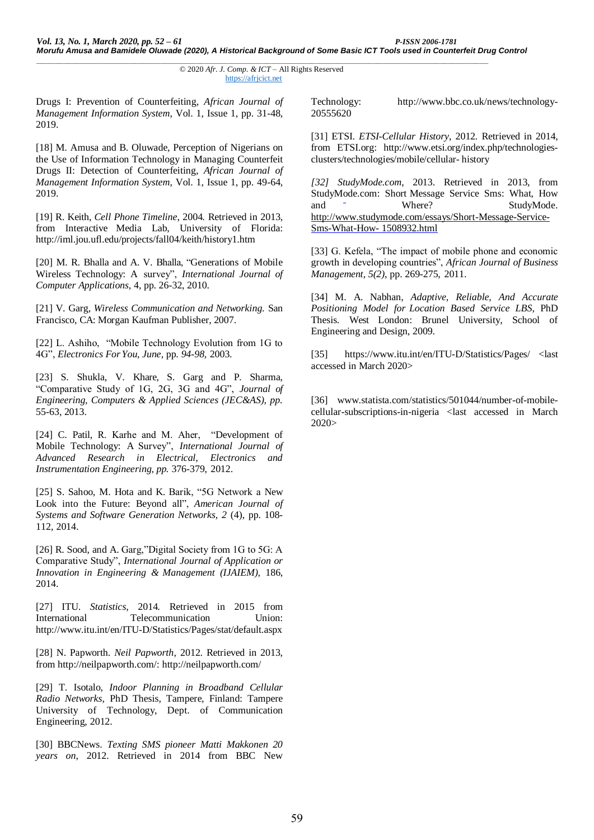Drugs I: Prevention of Counterfeiting, *African Journal of Management Information System*, Vol. 1, Issue 1, pp. 31-48, 2019.

[18] M. Amusa and B. Oluwade, Perception of Nigerians on the Use of Information Technology in Managing Counterfeit Drugs II: Detection of Counterfeiting, *African Journal of Management Information System*, Vol. 1, Issue 1, pp. 49-64, 2019.

[19] R. Keith, *Cell Phone Timeline*, 2004*.* Retrieved in 2013, from Interactive Media Lab, University of Florida: <http://iml.jou.ufl.edu/projects/fall04/keith/history1.htm>

[20] M. R. Bhalla and A. V. Bhalla, "Generations of Mobile Wireless Technology: A survey", *International Journal of Computer Applications,* 4, pp. 26-32, 2010.

[21] V. Garg, *Wireless Communication and Networking.* San Francisco, CA: Morgan Kaufman Publisher, 2007.

[22] L. Ashiho, "Mobile Technology Evolution from 1G to 4G", *Electronics For You, June,* pp. *94-98,* 2003.

[23] S. Shukla, V. Khare, S. Garg and P. Sharma, "Comparative Study of 1G, 2G, 3G and 4G", *Journal of Engineering, Computers & Applied Sciences (JEC&AS), pp.*  55-63, 2013.

[24] C. Patil, R. Karhe and M. Aher, "Development of Mobile Technology: A Survey", *International Journal of Advanced Research in Electrical, Electronics and Instrumentation Engineering, pp.* 376-379, 2012.

[25] S. Sahoo, M. Hota and K. Barik, "5G Network a New Look into the Future: Beyond all", *American Journal of Systems and Software Generation Networks, 2* (4), pp. 108- 112, 2014.

[26] R. Sood, and A. Garg,"Digital Society from 1G to 5G: A Comparative Study", *International Journal of Application or Innovation in Engineering & Management (IJAIEM),* 186, 2014.

[27] ITU. *Statistics*, 2014*.* Retrieved in 2015 from International Telecommunication Union: <http://www.itu.int/en/ITU-D/Statistics/Pages/stat/default.aspx>

[28] N. Papworth. *Neil Papworth*, 2012. Retrieved in 2013, from [http://neilpapworth.com/:](http://neilpapworth.com/) <http://neilpapworth.com/>

[29] T. Isotalo, *Indoor Planning in Broadband Cellular Radio Networks*, PhD Thesis*,* Tampere, Finland: Tampere University of Technology, Dept. of Communication Engineering, 2012.

[30] BBCNews. *Texting SMS pioneer Matti Makkonen 20 years on*, 2012. Retrieved in 2014 from BBC New

Technology: http://www.bbc.co.uk/news/technology-20555620

[31] ETSI. *ETSI-Cellular History*, 2012*.* Retrieved in 2014, from ETSI.org: [http://www.etsi.org/index.php/technologies](http://www.etsi.org/index.php/technologies-clusters/technologies/mobile/cellular-history)[clusters/technologies/mobile/cellular-](http://www.etsi.org/index.php/technologies-clusters/technologies/mobile/cellular-history) [history](http://www.etsi.org/index.php/technologies-clusters/technologies/mobile/cellular-history)

*[32] StudyMode.com*, 2013. Retrieved in 2013, from StudyMode.com: Short Message Service Sms: What, How and  $\overline{\phantom{a}}$  Where? StudyMode[.](http://www.studymode.com/essays/Short-Message-Service-Sms-What-How-1508932.html) [http://www.studymode.com/essays/Short-Message-Service-](http://www.studymode.com/essays/Short-Message-Service-Sms-What-How-1508932.html)[Sms-What-How-](http://www.studymode.com/essays/Short-Message-Service-Sms-What-How-1508932.html) [1508932.html](http://www.studymode.com/essays/Short-Message-Service-Sms-What-How-1508932.html)

[33] G. Kefela, "The impact of mobile phone and economic growth in developing countries", *African Journal of Business Management, 5(2)*, pp. 269-275, 2011.

[34] M. A. Nabhan, *Adaptive, Reliable, And Accurate Positioning Model for Location Based Service LBS*, PhD Thesis*.* West London: Brunel University, School of Engineering and Design, 2009.

[35] https://www.itu.int/en/ITU-D/Statistics/Pages/ <last accessed in March 2020>

[36] www.statista.com/statistics/501044/number-of-mobilecellular-subscriptions-in-nigeria <last accessed in March 2020>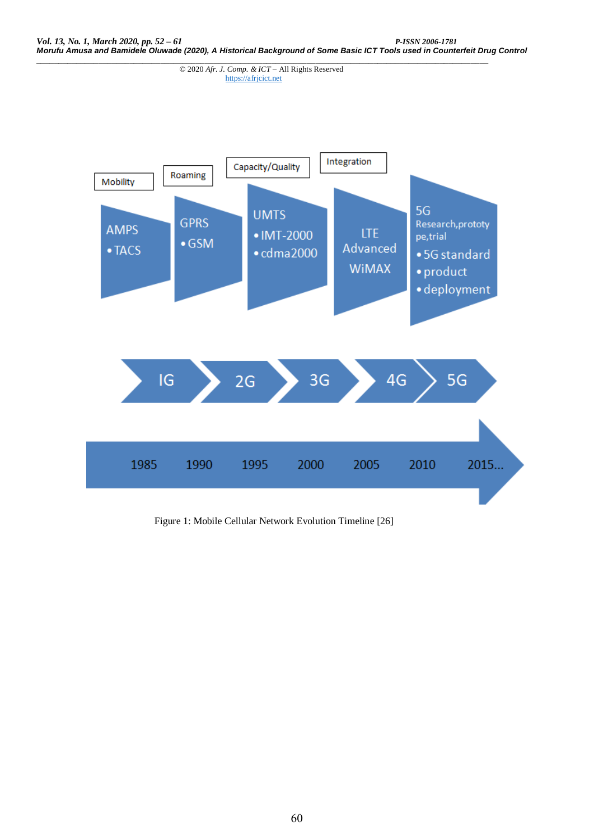

Figure 1: Mobile Cellular Network Evolution Timeline [26]